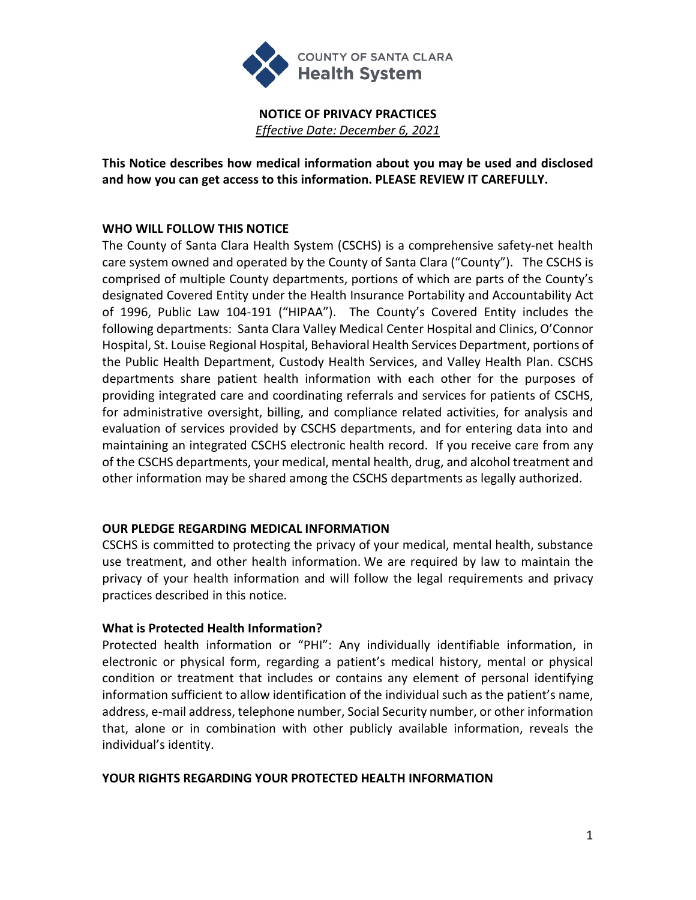

**NOTICE OF PRIVACY PRACTICES** *Effective Date: December 6, 2021*

**This Notice describes how medical information about you may be used and disclosed and how you can get access to this information. PLEASE REVIEW IT CAREFULLY.**

## **WHO WILL FOLLOW THIS NOTICE**

The County of Santa Clara Health System (CSCHS) is a comprehensive safety-net health care system owned and operated by the County of Santa Clara ("County"). The CSCHS is comprised of multiple County departments, portions of which are parts of the County's designated Covered Entity under the Health Insurance Portability and Accountability Act of 1996, Public Law 104-191 ("HIPAA"). The County's Covered Entity includes the following departments: Santa Clara Valley Medical Center Hospital and Clinics, O'Connor Hospital, St. Louise Regional Hospital, Behavioral Health Services Department, portions of the Public Health Department, Custody Health Services, and Valley Health Plan. CSCHS departments share patient health information with each other for the purposes of providing integrated care and coordinating referrals and services for patients of CSCHS, for administrative oversight, billing, and compliance related activities, for analysis and evaluation of services provided by CSCHS departments, and for entering data into and maintaining an integrated CSCHS electronic health record. If you receive care from any of the CSCHS departments, your medical, mental health, drug, and alcohol treatment and other information may be shared among the CSCHS departments as legally authorized.

### **OUR PLEDGE REGARDING MEDICAL INFORMATION**

CSCHS is committed to protecting the privacy of your medical, mental health, substance use treatment, and other health information. We are required by law to maintain the privacy of your health information and will follow the legal requirements and privacy practices described in this notice.

### **What is Protected Health Information?**

Protected health information or "PHI": Any individually identifiable information, in electronic or physical form, regarding a patient's medical history, mental or physical condition or treatment that includes or contains any element of personal identifying information sufficient to allow identification of the individual such as the patient's name, address, e-mail address, telephone number, Social Security number, or other information that, alone or in combination with other publicly available information, reveals the individual's identity.

### **YOUR RIGHTS REGARDING YOUR PROTECTED HEALTH INFORMATION**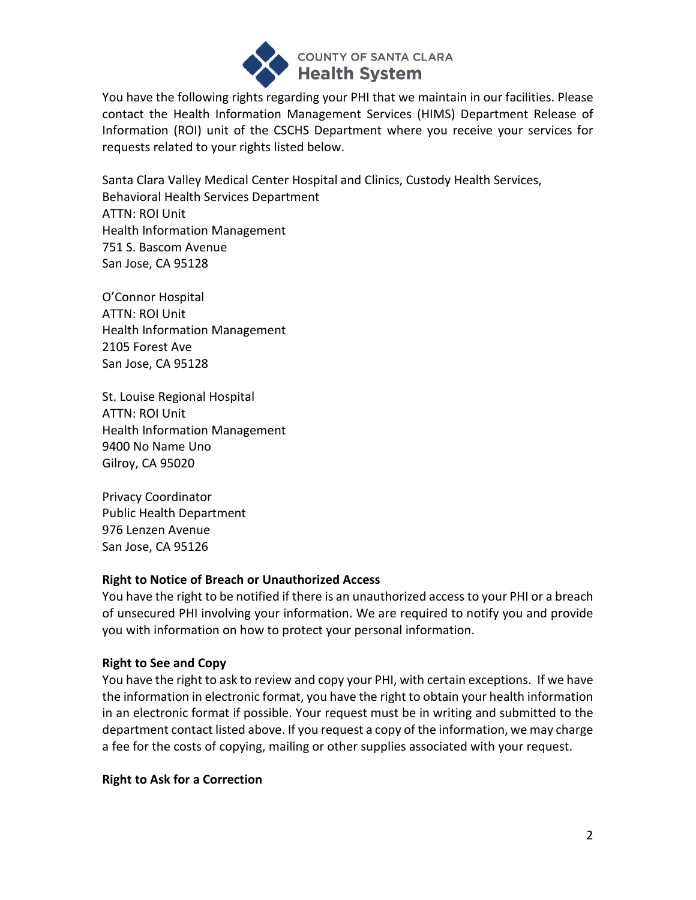

You have the following rights regarding your PHI that we maintain in our facilities. Please contact the Health Information Management Services (HIMS) Department Release of Information (ROI) unit of the CSCHS Department where you receive your services for requests related to your rights listed below.

Santa Clara Valley Medical Center Hospital and Clinics, Custody Health Services, Behavioral Health Services Department ATTN: ROI Unit Health Information Management 751 S. Bascom Avenue San Jose, CA 95128

O'Connor Hospital ATTN: ROI Unit Health Information Management 2105 Forest Ave San Jose, CA 95128

St. Louise Regional Hospital ATTN: ROI Unit Health Information Management 9400 No Name Uno Gilroy, CA 95020

Privacy Coordinator Public Health Department 976 Lenzen Avenue San Jose, CA 95126

### **Right to Notice of Breach or Unauthorized Access**

You have the right to be notified if there is an unauthorized access to your PHI or a breach of unsecured PHI involving your information. We are required to notify you and provide you with information on how to protect your personal information.

# **Right to See and Copy**

You have the right to ask to review and copy your PHI, with certain exceptions. If we have the information in electronic format, you have the right to obtain your health information in an electronic format if possible. Your request must be in writing and submitted to the department contact listed above. If you request a copy of the information, we may charge a fee for the costs of copying, mailing or other supplies associated with your request.

### **Right to Ask for a Correction**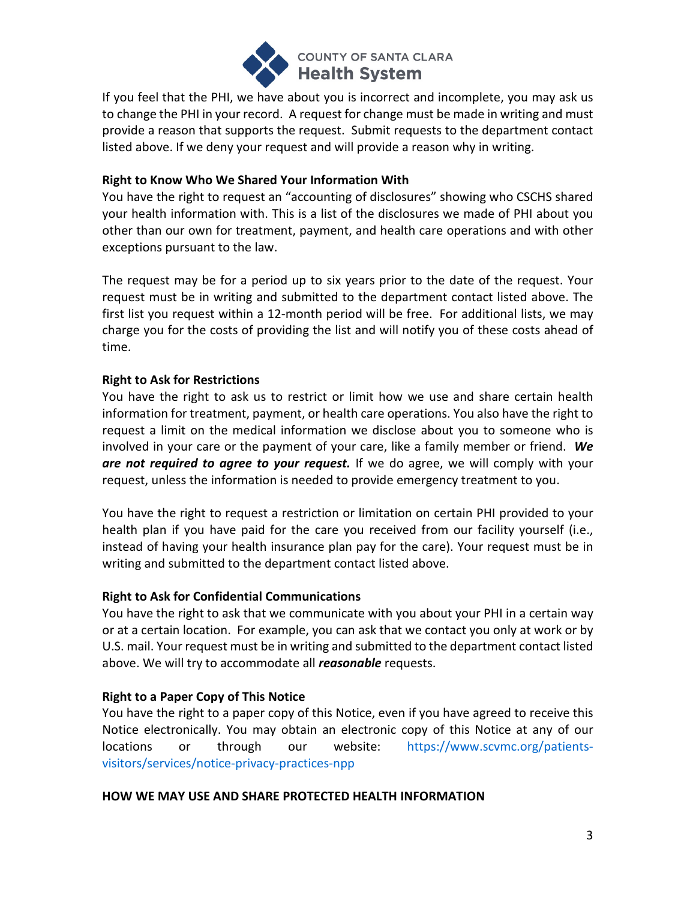

If you feel that the PHI, we have about you is incorrect and incomplete, you may ask us to change the PHI in your record. A request for change must be made in writing and must provide a reason that supports the request. Submit requests to the department contact listed above. If we deny your request and will provide a reason why in writing.

### **Right to Know Who We Shared Your Information With**

You have the right to request an "accounting of disclosures" showing who CSCHS shared your health information with. This is a list of the disclosures we made of PHI about you other than our own for treatment, payment, and health care operations and with other exceptions pursuant to the law.

The request may be for a period up to six years prior to the date of the request. Your request must be in writing and submitted to the department contact listed above. The first list you request within a 12-month period will be free. For additional lists, we may charge you for the costs of providing the list and will notify you of these costs ahead of time.

# **Right to Ask for Restrictions**

You have the right to ask us to restrict or limit how we use and share certain health information for treatment, payment, or health care operations. You also have the right to request a limit on the medical information we disclose about you to someone who is involved in your care or the payment of your care, like a family member or friend. *We are not required to agree to your request.* If we do agree, we will comply with your request, unless the information is needed to provide emergency treatment to you.

You have the right to request a restriction or limitation on certain PHI provided to your health plan if you have paid for the care you received from our facility yourself (i.e., instead of having your health insurance plan pay for the care). Your request must be in writing and submitted to the department contact listed above.

### **Right to Ask for Confidential Communications**

You have the right to ask that we communicate with you about your PHI in a certain way or at a certain location. For example, you can ask that we contact you only at work or by U.S. mail. Your request must be in writing and submitted to the department contact listed above. We will try to accommodate all *reasonable* requests.

# **Right to a Paper Copy of This Notice**

You have the right to a paper copy of this Notice, even if you have agreed to receive this Notice electronically. You may obtain an electronic copy of this Notice at any of our locations or through our website: [https://www.scvmc.org/patients](https://www.scvmc.org/patients-visitors/services/notice-privacy-practices-npp)[visitors/services/notice-privacy-practices-npp](https://www.scvmc.org/patients-visitors/services/notice-privacy-practices-npp)

### **HOW WE MAY USE AND SHARE PROTECTED HEALTH INFORMATION**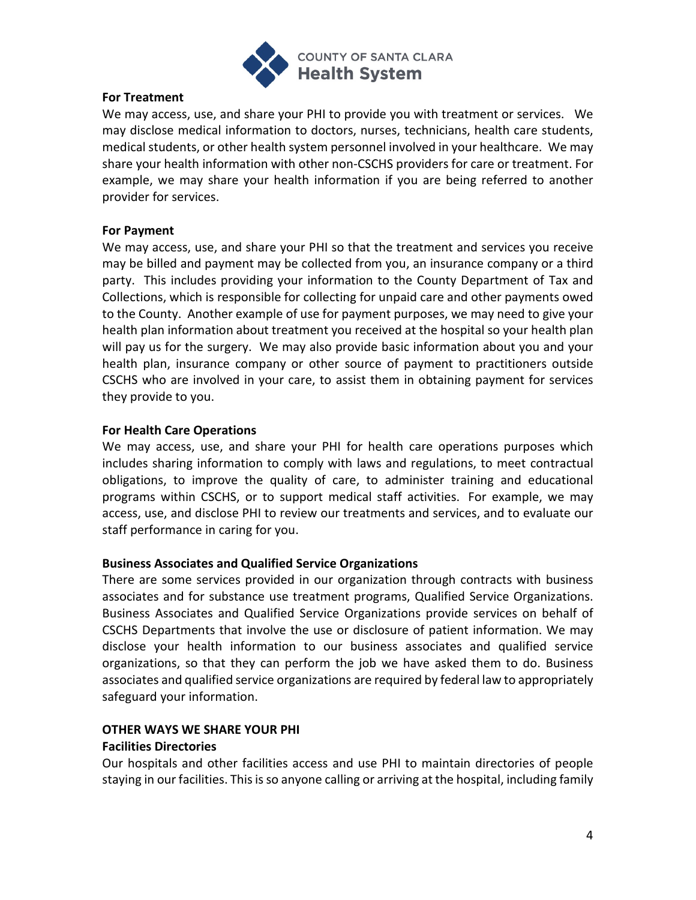

### **For Treatment**

We may access, use, and share your PHI to provide you with treatment or services. We may disclose medical information to doctors, nurses, technicians, health care students, medical students, or other health system personnel involved in your healthcare. We may share your health information with other non-CSCHS providers for care or treatment. For example, we may share your health information if you are being referred to another provider for services.

### **For Payment**

We may access, use, and share your PHI so that the treatment and services you receive may be billed and payment may be collected from you, an insurance company or a third party. This includes providing your information to the County Department of Tax and Collections, which is responsible for collecting for unpaid care and other payments owed to the County. Another example of use for payment purposes, we may need to give your health plan information about treatment you received at the hospital so your health plan will pay us for the surgery. We may also provide basic information about you and your health plan, insurance company or other source of payment to practitioners outside CSCHS who are involved in your care, to assist them in obtaining payment for services they provide to you.

### **For Health Care Operations**

We may access, use, and share your PHI for health care operations purposes which includes sharing information to comply with laws and regulations, to meet contractual obligations, to improve the quality of care, to administer training and educational programs within CSCHS, or to support medical staff activities. For example, we may access, use, and disclose PHI to review our treatments and services, and to evaluate our staff performance in caring for you.

### **Business Associates and Qualified Service Organizations**

There are some services provided in our organization through contracts with business associates and for substance use treatment programs, Qualified Service Organizations. Business Associates and Qualified Service Organizations provide services on behalf of CSCHS Departments that involve the use or disclosure of patient information. We may disclose your health information to our business associates and qualified service organizations, so that they can perform the job we have asked them to do. Business associates and qualified service organizations are required by federal law to appropriately safeguard your information.

# **OTHER WAYS WE SHARE YOUR PHI**

### **Facilities Directories**

Our hospitals and other facilities access and use PHI to maintain directories of people staying in our facilities. This is so anyone calling or arriving at the hospital, including family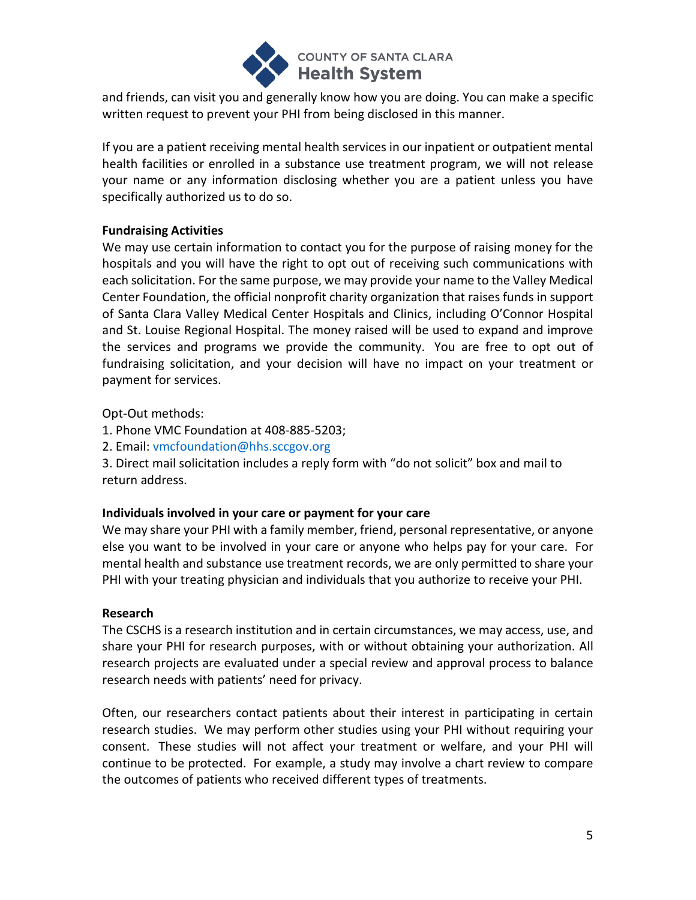

and friends, can visit you and generally know how you are doing. You can make a specific written request to prevent your PHI from being disclosed in this manner.

If you are a patient receiving mental health services in our inpatient or outpatient mental health facilities or enrolled in a substance use treatment program, we will not release your name or any information disclosing whether you are a patient unless you have specifically authorized us to do so.

## **Fundraising Activities**

We may use certain information to contact you for the purpose of raising money for the hospitals and you will have the right to opt out of receiving such communications with each solicitation. For the same purpose, we may provide your name to the Valley Medical Center Foundation, the official nonprofit charity organization that raises funds in support of Santa Clara Valley Medical Center Hospitals and Clinics, including O'Connor Hospital and St. Louise Regional Hospital. The money raised will be used to expand and improve the services and programs we provide the community. You are free to opt out of fundraising solicitation, and your decision will have no impact on your treatment or payment for services.

Opt-Out methods:

- 1. Phone VMC Foundation at 408-885-5203;
- 2. Email: [vmcfoundation@hhs.sccgov.org](mailto:vmcfoundation@hhs.sccgov.org)

3. Direct mail solicitation includes a reply form with "do not solicit" box and mail to return address.

### **Individuals involved in your care or payment for your care**

We may share your PHI with a family member, friend, personal representative, or anyone else you want to be involved in your care or anyone who helps pay for your care. For mental health and substance use treatment records, we are only permitted to share your PHI with your treating physician and individuals that you authorize to receive your PHI.

### **Research**

The CSCHS is a research institution and in certain circumstances, we may access, use, and share your PHI for research purposes, with or without obtaining your authorization. All research projects are evaluated under a special review and approval process to balance research needs with patients' need for privacy.

Often, our researchers contact patients about their interest in participating in certain research studies. We may perform other studies using your PHI without requiring your consent. These studies will not affect your treatment or welfare, and your PHI will continue to be protected. For example, a study may involve a chart review to compare the outcomes of patients who received different types of treatments.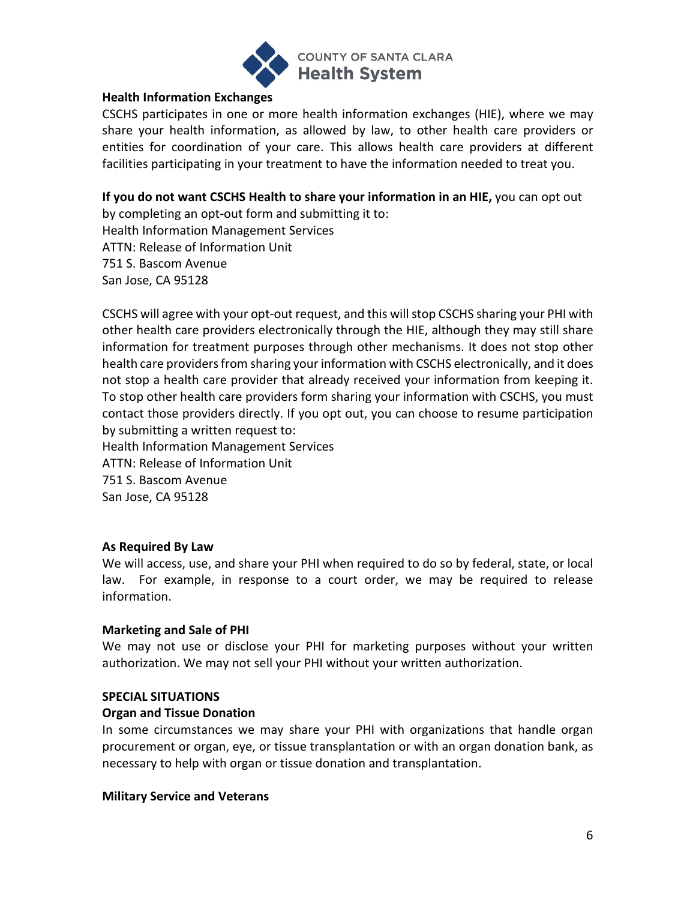

### **Health Information Exchanges**

CSCHS participates in one or more health information exchanges (HIE), where we may share your health information, as allowed by law, to other health care providers or entities for coordination of your care. This allows health care providers at different facilities participating in your treatment to have the information needed to treat you.

**If you do not want CSCHS Health to share your information in an HIE,** you can opt out

by completing an opt-out form and submitting it to: Health Information Management Services ATTN: Release of Information Unit 751 S. Bascom Avenue San Jose, CA 95128

CSCHS will agree with your opt-out request, and this will stop CSCHS sharing your PHI with other health care providers electronically through the HIE, although they may still share information for treatment purposes through other mechanisms. It does not stop other health care providers from sharing your information with CSCHS electronically, and it does not stop a health care provider that already received your information from keeping it. To stop other health care providers form sharing your information with CSCHS, you must contact those providers directly. If you opt out, you can choose to resume participation by submitting a written request to:

Health Information Management Services

ATTN: Release of Information Unit

751 S. Bascom Avenue

San Jose, CA 95128

# **As Required By Law**

We will access, use, and share your PHI when required to do so by federal, state, or local law. For example, in response to a court order, we may be required to release information.

### **Marketing and Sale of PHI**

We may not use or disclose your PHI for marketing purposes without your written authorization. We may not sell your PHI without your written authorization.

### **SPECIAL SITUATIONS**

### **Organ and Tissue Donation**

In some circumstances we may share your PHI with organizations that handle organ procurement or organ, eye, or tissue transplantation or with an organ donation bank, as necessary to help with organ or tissue donation and transplantation.

### **Military Service and Veterans**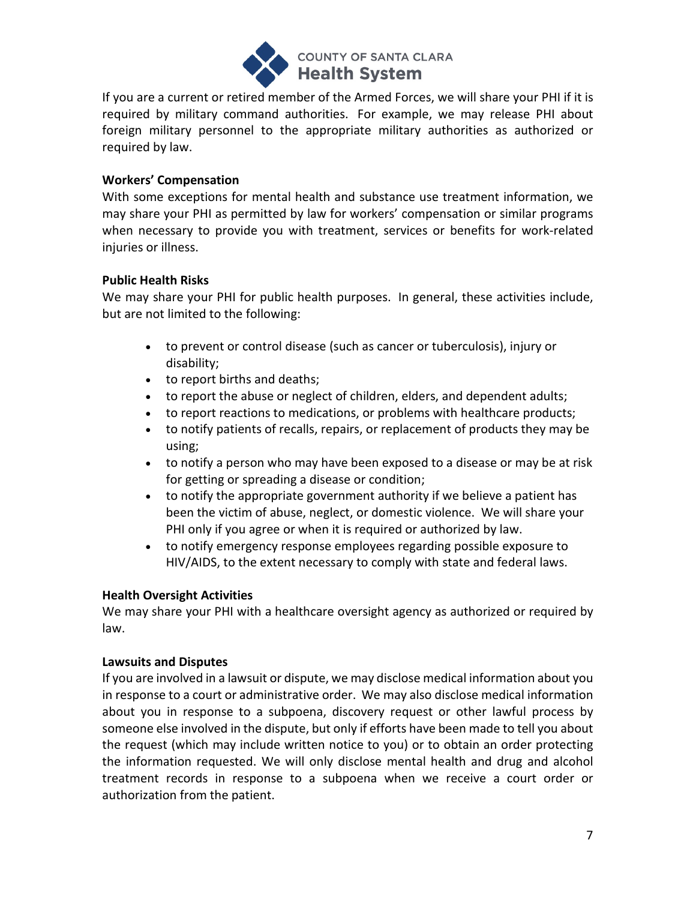

If you are a current or retired member of the Armed Forces, we will share your PHI if it is required by military command authorities. For example, we may release PHI about foreign military personnel to the appropriate military authorities as authorized or required by law.

## **Workers' Compensation**

With some exceptions for mental health and substance use treatment information, we may share your PHI as permitted by law for workers' compensation or similar programs when necessary to provide you with treatment, services or benefits for work-related injuries or illness.

## **Public Health Risks**

We may share your PHI for public health purposes. In general, these activities include, but are not limited to the following:

- to prevent or control disease (such as cancer or tuberculosis), injury or disability;
- to report births and deaths;
- to report the abuse or neglect of children, elders, and dependent adults;
- to report reactions to medications, or problems with healthcare products;
- to notify patients of recalls, repairs, or replacement of products they may be using;
- to notify a person who may have been exposed to a disease or may be at risk for getting or spreading a disease or condition;
- to notify the appropriate government authority if we believe a patient has been the victim of abuse, neglect, or domestic violence. We will share your PHI only if you agree or when it is required or authorized by law.
- to notify emergency response employees regarding possible exposure to HIV/AIDS, to the extent necessary to comply with state and federal laws.

# **Health Oversight Activities**

We may share your PHI with a healthcare oversight agency as authorized or required by law.

# **Lawsuits and Disputes**

If you are involved in a lawsuit or dispute, we may disclose medical information about you in response to a court or administrative order. We may also disclose medical information about you in response to a subpoena, discovery request or other lawful process by someone else involved in the dispute, but only if efforts have been made to tell you about the request (which may include written notice to you) or to obtain an order protecting the information requested. We will only disclose mental health and drug and alcohol treatment records in response to a subpoena when we receive a court order or authorization from the patient.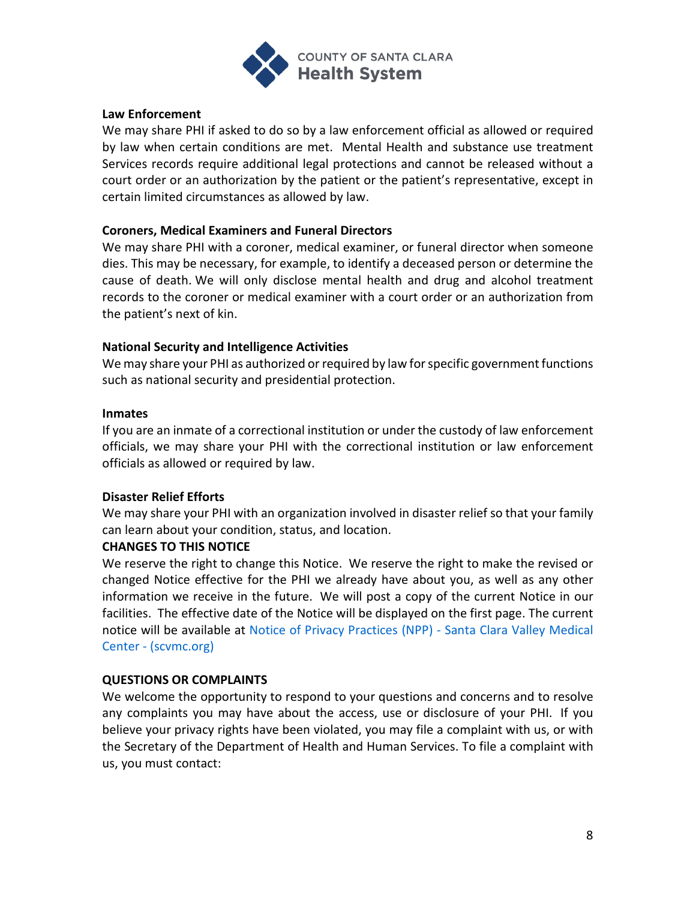

#### **Law Enforcement**

We may share PHI if asked to do so by a law enforcement official as allowed or required by law when certain conditions are met. Mental Health and substance use treatment Services records require additional legal protections and cannot be released without a court order or an authorization by the patient or the patient's representative, except in certain limited circumstances as allowed by law.

#### **Coroners, Medical Examiners and Funeral Directors**

We may share PHI with a coroner, medical examiner, or funeral director when someone dies. This may be necessary, for example, to identify a deceased person or determine the cause of death. We will only disclose mental health and drug and alcohol treatment records to the coroner or medical examiner with a court order or an authorization from the patient's next of kin.

### **National Security and Intelligence Activities**

We may share your PHI as authorized or required by law for specific government functions such as national security and presidential protection.

#### **Inmates**

If you are an inmate of a correctional institution or under the custody of law enforcement officials, we may share your PHI with the correctional institution or law enforcement officials as allowed or required by law.

### **Disaster Relief Efforts**

We may share your PHI with an organization involved in disaster relief so that your family can learn about your condition, status, and location.

### **CHANGES TO THIS NOTICE**

We reserve the right to change this Notice. We reserve the right to make the revised or changed Notice effective for the PHI we already have about you, as well as any other information we receive in the future. We will post a copy of the current Notice in our facilities. The effective date of the Notice will be displayed on the first page. The current notice will be available at [Notice of Privacy Practices \(NPP\) -](https://www.scvmc.org/patients-visitors/services/notice-privacy-practices-npp) Santa Clara Valley Medical Center - [\(scvmc.org\)](https://www.scvmc.org/patients-visitors/services/notice-privacy-practices-npp)

#### **QUESTIONS OR COMPLAINTS**

We welcome the opportunity to respond to your questions and concerns and to resolve any complaints you may have about the access, use or disclosure of your PHI. If you believe your privacy rights have been violated, you may file a complaint with us, or with the Secretary of the Department of Health and Human Services. To file a complaint with us, you must contact: